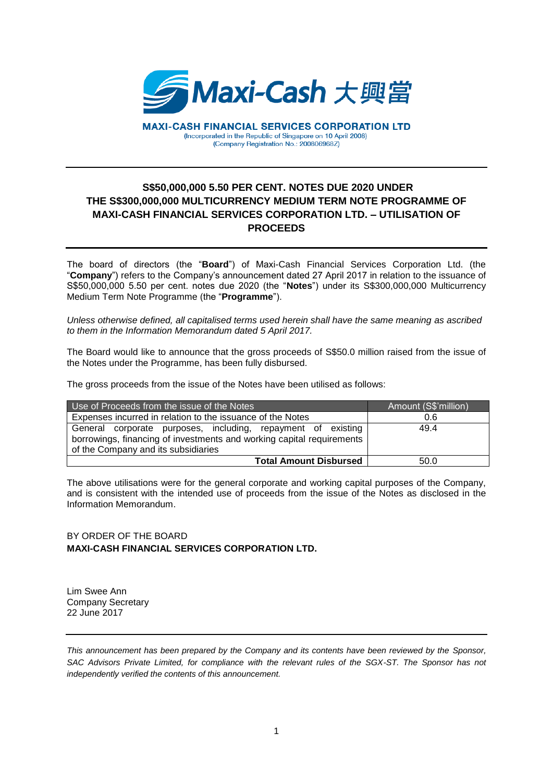

**MAXI-CASH FINANCIAL SERVICES CORPORATION LTD** (Incorporated in the Republic of Singapore on 10 April 2008) (Company Registration No.: 200806968Z)

## **S\$50,000,000 5.50 PER CENT. NOTES DUE 2020 UNDER THE S\$300,000,000 MULTICURRENCY MEDIUM TERM NOTE PROGRAMME OF MAXI-CASH FINANCIAL SERVICES CORPORATION LTD. – UTILISATION OF PROCEEDS**

The board of directors (the "**Board**") of Maxi-Cash Financial Services Corporation Ltd. (the "**Company**") refers to the Company's announcement dated 27 April 2017 in relation to the issuance of S\$50,000,000 5.50 per cent. notes due 2020 (the "**Notes**") under its S\$300,000,000 Multicurrency Medium Term Note Programme (the "**Programme**").

*Unless otherwise defined, all capitalised terms used herein shall have the same meaning as ascribed to them in the Information Memorandum dated 5 April 2017.*

The Board would like to announce that the gross proceeds of S\$50.0 million raised from the issue of the Notes under the Programme, has been fully disbursed.

The gross proceeds from the issue of the Notes have been utilised as follows:

| Use of Proceeds from the issue of the Notes                                                                                                                                  | Amount (S\$'million) |
|------------------------------------------------------------------------------------------------------------------------------------------------------------------------------|----------------------|
| Expenses incurred in relation to the issuance of the Notes                                                                                                                   | 0.6                  |
| General corporate purposes, including, repayment of existing<br>borrowings, financing of investments and working capital requirements<br>of the Company and its subsidiaries | 49.4                 |
| <b>Total Amount Disbursed</b>                                                                                                                                                | 50.0                 |

The above utilisations were for the general corporate and working capital purposes of the Company, and is consistent with the intended use of proceeds from the issue of the Notes as disclosed in the Information Memorandum.

## BY ORDER OF THE BOARD **MAXI-CASH FINANCIAL SERVICES CORPORATION LTD.**

Lim Swee Ann Company Secretary 22 June 2017

*This announcement has been prepared by the Company and its contents have been reviewed by the Sponsor,*  SAC Advisors Private Limited, for compliance with the relevant rules of the SGX-ST. The Sponsor has not *independently verified the contents of this announcement.*